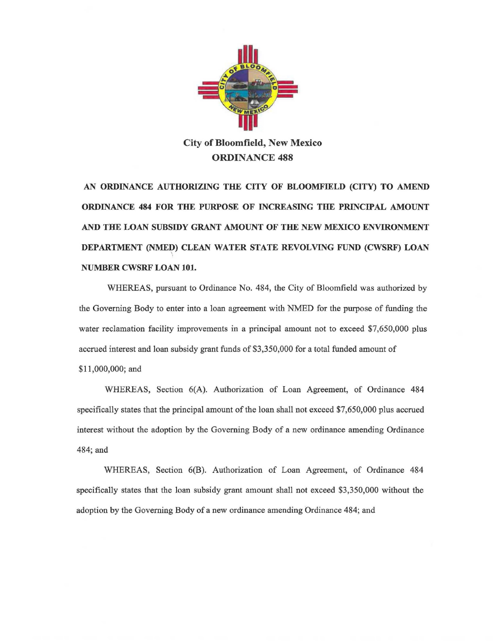

**City of Bloomfield, New Mexico ORDINANCE 488** 

**AN ORDINANCE AUTHORIZING THE CITY OF BLOOMFIELD (CITY) TO AMEND ORDINANCE 484 FOR THE PURPOSE OF INCREASING THE PRINCIPAL AMOUNT AND THE LOAN SUBSIDY GRANT AMOUNT OF THE NEW MEXICO ENVIRONMENT DEPARTMENT (NMED) CLEAN WATER STATE REVOLVING FUND (CWSRF) LOAN**   $\frac{1}{2}$ **NUMBER CWSRF LOAN 101.** 

WHEREAS, pursuant to Ordinance No. 484, the City of Bloomfield was authorized by the Governing Body to enter into a loan agreement with NMED for the purpose of funding the water reclamation facility improvements in a principal amount not to exceed \$7,650,000 plus accrued interest and loan subsidy grant funds of \$3,350,000 for a total funded amount of \$11,000,000; and

WHEREAS, Section 6(A). Authorization of Loan Agreement, of Ordinance 484 specifically states that the principal amount of the loan shall not exceed \$7,650,000 plus accrued interest without the adoption by the Governing Body of a new ordinance amending Ordinance 484;and

WHEREAS, Section 6(B). Authorization of Loan Agreement, of Ordinance 484 specifically states that the loan subsidy grant amount shall not exceed \$3,350,000 without the adoption by the Governing Body of a new ordinance amending Ordinance 484; and